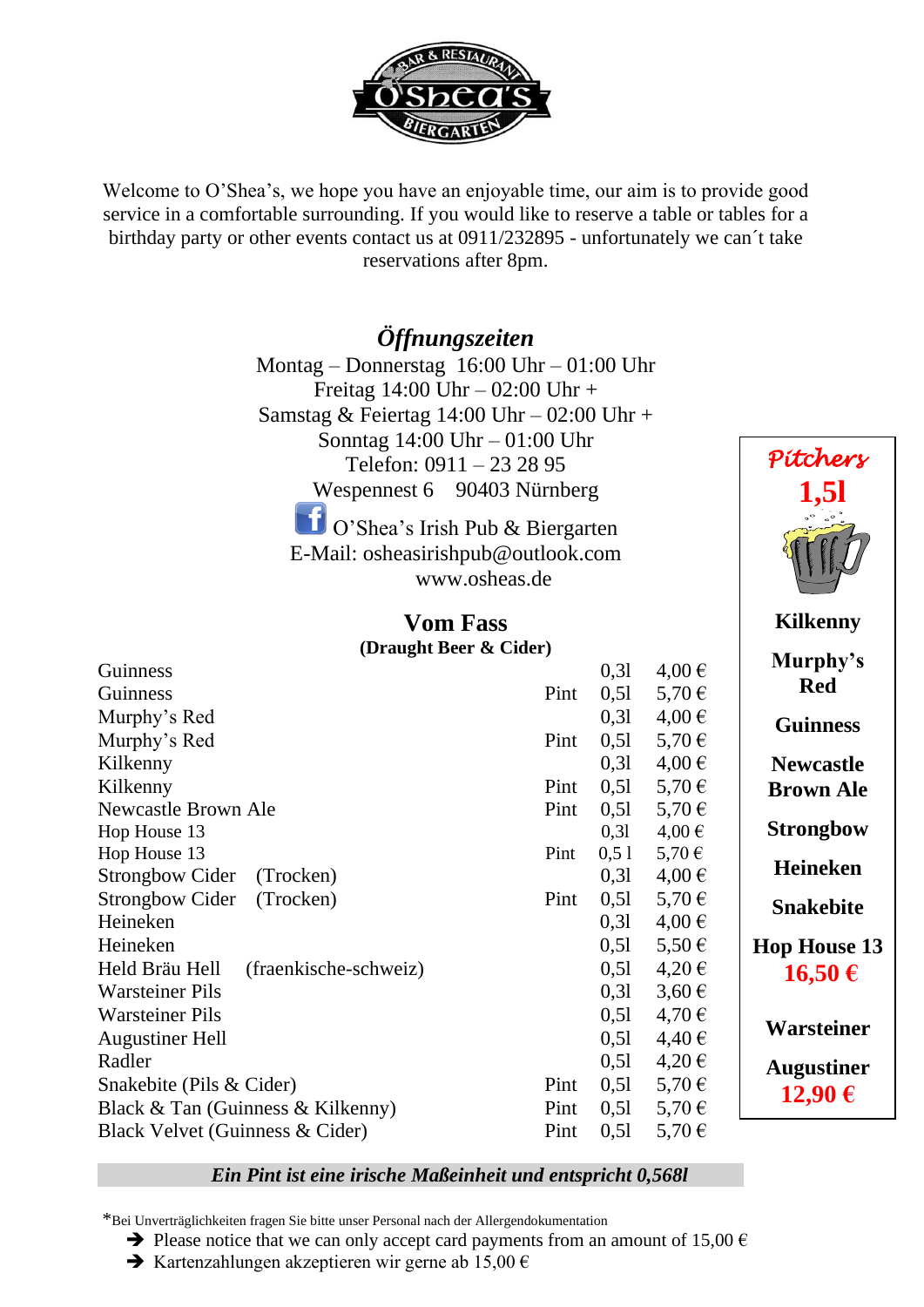

Welcome to O'Shea's, we hope you have an enjoyable time, our aim is to provide good service in a comfortable surrounding. If you would like to reserve a table or tables for a birthday party or other events contact us at 0911/232895 - unfortunately we can´t take reservations after 8pm.

#### *Öffnungszeiten*

Montag – Donnerstag 16:00 Uhr – 01:00 Uhr Freitag 14:00 Uhr – 02:00 Uhr + Samstag & Feiertag 14:00 Uhr – 02:00 Uhr + Sonntag 14:00 Uhr – 01:00 Uhr Telefon: 0911 – 23 28 95 Wespennest 6 90403 Nürnberg O'Shea's Irish Pub & Biergarten E-Mail: osheasirishpub@outlook.com

[www.osheas.de](http://www.osheas.de/)

| <b>Vom Fass</b>            |      |      |            |
|----------------------------|------|------|------------|
| (Draught Beer & Cider)     |      |      |            |
| Guinness                   |      | 0,31 | $4,00 \in$ |
| <b>Guinness</b>            | Pint | 0,51 | $5,70 \in$ |
| Murphy's Red               |      | 0.31 | $4,00 \in$ |
| Murphy's Red               | Pint | 0,51 | 5,70 €     |
| Kilkenny                   |      | 0.31 | $4,00 \in$ |
| Kilkenny                   | Pint | 0,51 | $5,70 \in$ |
| <b>Newcastle Brown Ale</b> | Pint | 0,51 | 5,70 €     |
| Hop House 13               |      | 0,31 | $4,00 \in$ |
| Hop House 13               | Pint | 0,51 | $5,70 \in$ |
| Strongbow Cider (Trocken)  |      | 0.31 | $4,00 \in$ |
| Strongbow Cider (Trocken)  | Pint | 0,51 | $5,70 \in$ |
| Heineken                   |      | 0.31 | $4,00 \in$ |
| Heineken                   |      | 0,51 | $5,50 \in$ |

Held Bräu Hell (fraenkische-schweiz) 0,5l  $4,20 \in$ Warsteiner Pils  $0.31 \quad 3.60 \in$ Warsteiner Pils  $0.51 \quad 4.70 \in$ Augustiner Hell  $0.51 \quad 4.40 \in$ Radler  $0,51$  4,20  $\in$ Snakebite (Pils & Cider) Pint  $0.51 \quad 5.70 \in$ Black & Tan (Guinness & Kilkenny) Pint  $0.51 \quad 5.70 \in$ Black Velvet (Guinness & Cider) Pint  $0.51 \quad 5.70 \in$ 

## **Kilkenny Murphy's Red Guinness Newcastle Brown Ale Strongbow**

 *Pitchers* 

 **1,5l**

**Heineken**

**Snakebite**

**Hop House 13 16,50 €**

**Warsteiner**

**Augustiner 12,90 €**

#### *Ein Pint ist eine irische Maßeinheit und entspricht 0,568l*

\*Bei Unverträglichkeiten fragen Sie bitte unser Personal nach der Allergendokumentation

 $\rightarrow$  Please notice that we can only accept card payments from an amount of 15,00  $\epsilon$ 

 $\rightarrow$  Kartenzahlungen akzeptieren wir gerne ab 15,00 €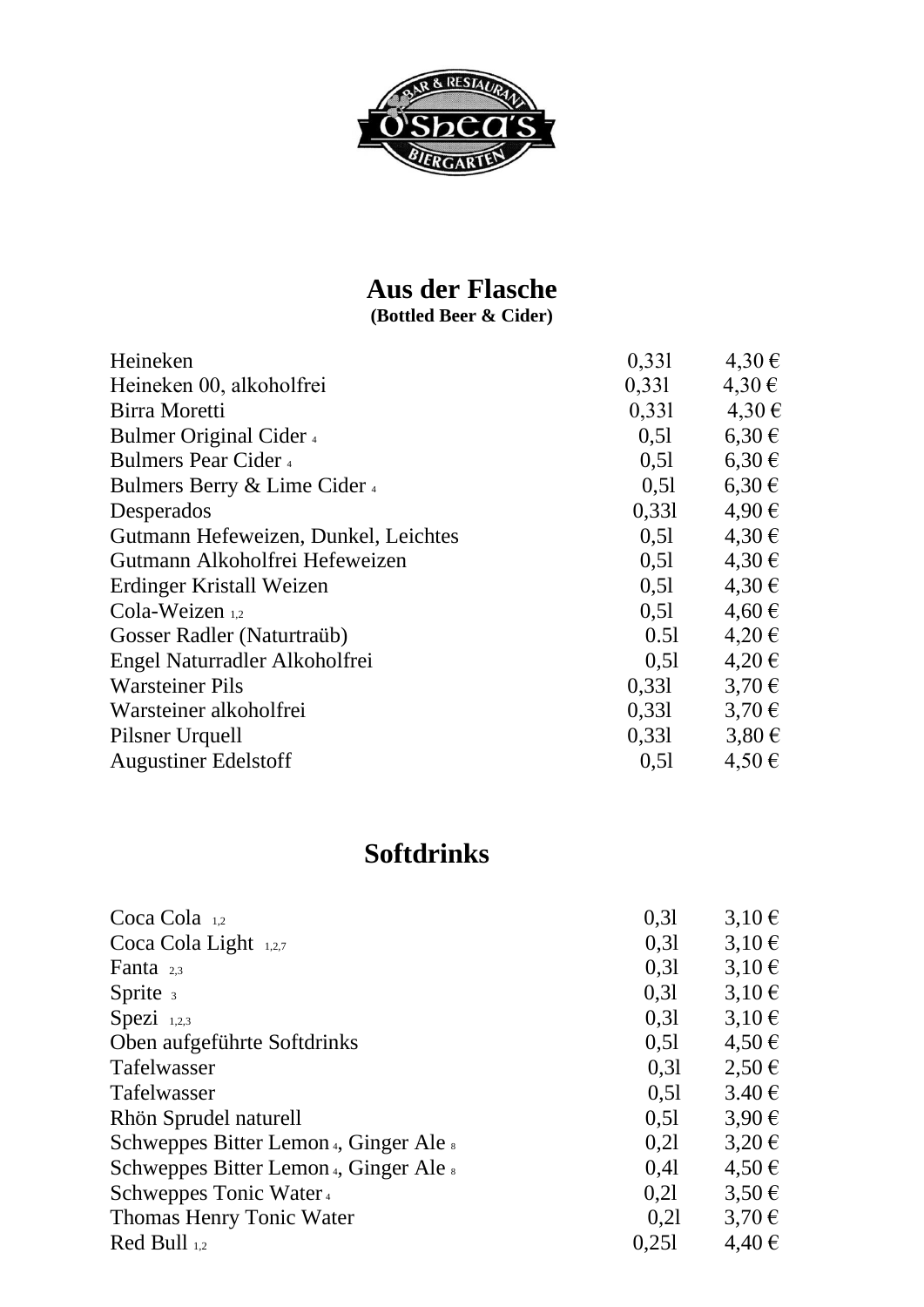

## **Aus der Flasche**

**(Bottled Beer & Cider)**

| Heineken                             | 0,331 | 4,30€      |
|--------------------------------------|-------|------------|
| Heineken 00, alkoholfrei             | 0,331 | $4,30 \in$ |
| Birra Moretti                        | 0,331 | 4,30€      |
| Bulmer Original Cider 4              | 0,51  | $6,30 \in$ |
| <b>Bulmers Pear Cider</b> 4          | 0,51  | $6,30 \in$ |
| Bulmers Berry & Lime Cider 4         | 0,51  | $6,30 \in$ |
| Desperados                           | 0,331 | 4,90€      |
| Gutmann Hefeweizen, Dunkel, Leichtes | 0,51  | 4,30€      |
| Gutmann Alkoholfrei Hefeweizen       | 0,51  | 4,30€      |
| Erdinger Kristall Weizen             | 0,51  | 4,30€      |
| Cola-Weizen 1,2                      | 0,51  | $4,60 \in$ |
| Gosser Radler (Naturtraüb)           | 0.51  | $4,20 \in$ |
| Engel Naturradler Alkoholfrei        | 0,51  | $4,20 \in$ |
| <b>Warsteiner Pils</b>               | 0,331 | $3,70 \in$ |
| Warsteiner alkoholfrei               | 0,331 | $3,70 \in$ |
| Pilsner Urquell                      | 0,331 | $3,80 \in$ |
| <b>Augustiner Edelstoff</b>          | 0,51  | 4,50€      |

#### **Softdrinks**

| Coca Cola $_{1,2}$                     | 0.31  | $3,10 \in$          |
|----------------------------------------|-------|---------------------|
| Coca Cola Light 1,2,7                  | 0.31  | $3,10 \in$          |
| Fanta $2.3$                            | 0,31  | $3,10 \in$          |
| Sprite $\frac{1}{3}$                   | 0,31  | $3,10 \in$          |
| Spezi $1,2,3$                          | 0.31  | $3,10 \in$          |
| Oben aufgeführte Softdrinks            | 0,51  | $4,50 \in$          |
| <b>Tafelwasser</b>                     | 0,31  | $2,50 \in$          |
| <b>Tafelwasser</b>                     | 0,51  | $3.40 \text{ } \in$ |
| Rhön Sprudel naturell                  | 0,51  | $3,90 \in$          |
| Schweppes Bitter Lemon 4, Ginger Ale 8 | 0,21  | $3,20 \in$          |
| Schweppes Bitter Lemon 4, Ginger Ale 8 | 0.41  | $4,50 \in$          |
| Schweppes Tonic Water 4                | 0.21  | $3,50 \in$          |
| Thomas Henry Tonic Water               | 0.21  | $3.70 \in$          |
| $\text{Red Bull}_{1,2}$                | 0,251 | $4,40 \in$          |
|                                        |       |                     |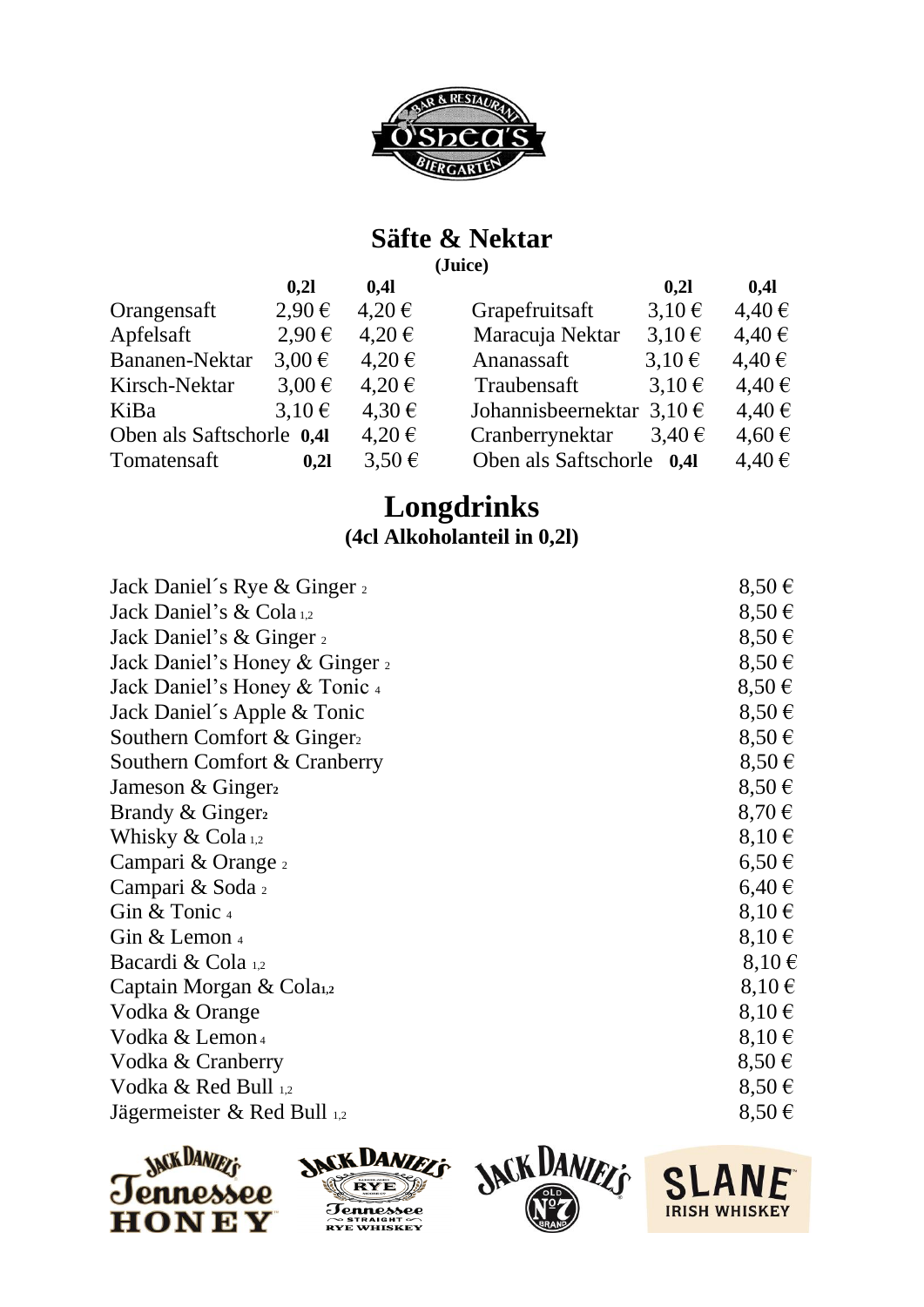

#### **Säfte & Nektar**

**(Juice)**

|                           | 0,21       | 0,41       |                               | 0.21       | 0,41       |
|---------------------------|------------|------------|-------------------------------|------------|------------|
| Orangensaft               | $2,90 \in$ | $4,20 \in$ | Grapefruitsaft                | $3,10 \in$ | $4,40 \in$ |
| Apfelsaft                 | $2,90 \in$ | $4,20 \in$ | Maracuja Nektar               | $3,10 \in$ | $4,40 \in$ |
| Bananen-Nektar            | $3.00 \in$ | $4,20 \in$ | Ananassaft                    | $3,10 \in$ | 4,40€      |
| Kirsch-Nektar             | $3,00 \in$ | $4,20 \in$ | Traubensaft                   | $3,10 \in$ | 4,40€      |
| KiBa                      | $3,10 \in$ | 4,30€      | Johannisbeernektar $3,10 \in$ |            | $4,40 \in$ |
| Oben als Saftschorle 0.41 |            | $4,20 \in$ | Cranberrynektar               | $3,40 \in$ | $4,60 \in$ |
| Tomatensaft               | 0,21       | $3.50 \in$ | Oben als Saftschorle 0,41     |            | $4,40 \in$ |
|                           |            |            |                               |            |            |

#### **Longdrinks (4cl Alkoholanteil in 0,2l)**

| Jack Daniel's Rye & Ginger 2   | $8,50 \in$ |
|--------------------------------|------------|
| Jack Daniel's & Cola 1,2       | $8,50 \in$ |
| Jack Daniel's & Ginger 2       | $8,50 \in$ |
| Jack Daniel's Honey & Ginger 2 | $8,50 \in$ |
| Jack Daniel's Honey & Tonic 4  | $8,50 \in$ |
| Jack Daniel's Apple & Tonic    | $8,50 \in$ |
| Southern Comfort & Ginger      | $8,50 \in$ |
| Southern Comfort & Cranberry   | $8,50 \in$ |
| Jameson & Ginger <sub>2</sub>  | $8,50 \in$ |
| Brandy & Ginger <sub>2</sub>   | $8,70 \in$ |
| Whisky $& Cola_{1,2}$          | $8,10 \in$ |
| Campari & Orange 2             | $6,50 \in$ |
| Campari & Soda 2               | $6,40 \in$ |
| Gin & Tonic 4                  | $8,10 \in$ |
| Gin & Lemon $_4$               | $8,10 \in$ |
| Bacardi & Cola 1,2             | $8,10 \in$ |
| Captain Morgan & Cola1,2       | $8,10 \in$ |
| Vodka & Orange                 | $8,10 \in$ |
| Vodka & Lemon <sub>4</sub>     | $8,10 \in$ |
| Vodka & Cranberry              | $8,50 \in$ |
| Vodka & Red Bull 1,2           | $8,50 \in$ |
| Jägermeister & Red Bull 1,2    | $8,50 \in$ |
|                                |            |







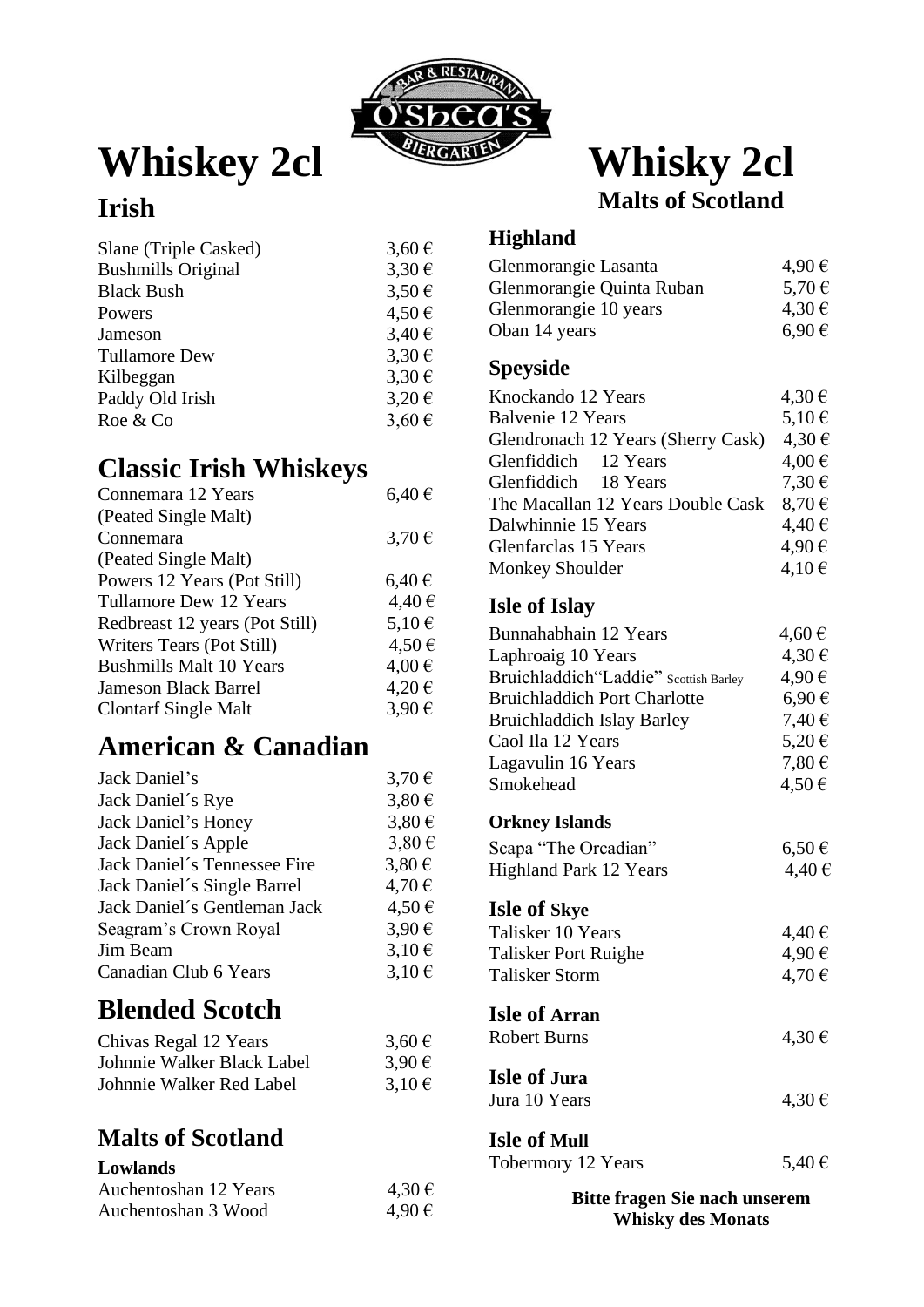

# Whiskey 2cl Whisky 2cl

# **Malts of Scotland**

#### **Irish**

| Slane (Triple Casked)     | $3,60 \in$ |
|---------------------------|------------|
| <b>Bushmills Original</b> | $3,30 \in$ |
| <b>Black Bush</b>         | $3,50 \in$ |
| Powers                    | 4,50€      |
| Jameson                   | $3,40 \in$ |
| <b>Tullamore Dew</b>      | $3,30 \in$ |
| Kilbeggan                 | $3,30 \in$ |
| Paddy Old Irish           | $3,20 \in$ |
| Roe & Co                  | $3,60 \in$ |
|                           |            |

#### **Classic Irish Whiskeys**

| Connemara 12 Years             | $6,40 \in$ |
|--------------------------------|------------|
| (Peated Single Malt)           |            |
| Connemara                      | $3,70 \in$ |
| (Peated Single Malt)           |            |
| Powers 12 Years (Pot Still)    | $6,40 \in$ |
| Tullamore Dew 12 Years         | 4,40€      |
| Redbreast 12 years (Pot Still) | $5.10 \in$ |
| Writers Tears (Pot Still)      | 4,50€      |
| <b>Bushmills Malt 10 Years</b> | $4,00 \in$ |
| <b>Jameson Black Barrel</b>    | 4,20€      |
| <b>Clontarf Single Malt</b>    | $3.90 \in$ |

#### **American & Canadian**

| Jack Daniel's                | $3,70 \in$ |
|------------------------------|------------|
| Jack Daniel's Rye            | $3,80 \in$ |
| Jack Daniel's Honey          | $3.80 \in$ |
| Jack Daniel's Apple          | 3,80€      |
| Jack Daniel's Tennessee Fire | $3,80 \in$ |
| Jack Daniel's Single Barrel  | 4,70€      |
| Jack Daniel's Gentleman Jack | 4,50€      |
| Seagram's Crown Royal        | 3,90€      |
| Jim Beam                     | $3,10 \in$ |
| Canadian Club 6 Years        | $3,10 \in$ |
|                              |            |

## **Blended Scotch**

| Chivas Regal 12 Years      | $3,60 \in$ |
|----------------------------|------------|
| Johnnie Walker Black Label | $3,90 \in$ |
| Johnnie Walker Red Label   | $3,10 \in$ |

#### **Malts of Scotland**

#### **Lowlands**

| Auchentoshan 12 Years | 4,30€ |
|-----------------------|-------|
| Auchentoshan 3 Wood   | 4,90€ |

#### **Highland**

| Glenmorangie Lasanta      | 4,90€      |
|---------------------------|------------|
| Glenmorangie Quinta Ruban | 5,70 €     |
| Glenmorangie 10 years     | 4,30€      |
| Oban 14 years             | $6.90 \in$ |

#### **Speyside**

| Knockando 12 Years                 | 4,30€      |
|------------------------------------|------------|
| Balvenie 12 Years                  | $5,10 \in$ |
| Glendronach 12 Years (Sherry Cask) | 4,30€      |
| Glenfiddich 12 Years               | $4,00 \in$ |
| Glenfiddich 18 Years               | 7,30€      |
| The Macallan 12 Years Double Cask  | $8.70 \in$ |
| Dalwhinnie 15 Years                | 4,40€      |
| Glenfarclas 15 Years               | 4,90€      |
| <b>Monkey Shoulder</b>             | $4,10 \in$ |

#### **Isle of Islay**

| Bunnahabhain 12 Years                 | $4,60 \in$ |
|---------------------------------------|------------|
| Laphroaig 10 Years                    | 4,30€      |
| Bruichladdich"Laddie" Scottish Barley | 4,90€      |
| <b>Bruichladdich Port Charlotte</b>   | 6,90€      |
| <b>Bruichladdich Islay Barley</b>     | 7,40 €     |
| Caol Ila 12 Years                     | 5,20€      |
| Lagavulin 16 Years                    | $7,80 \in$ |
| Smokehead                             | $4,50 \in$ |
| <b>Orkney Islands</b>                 |            |
| Scapa "The Orcadian"                  | $6,50 \in$ |
| <b>Highland Park 12 Years</b>         | 4,40€      |
| <b>Isle of Skye</b>                   |            |
| Talisker 10 Years                     | 4,40€      |
| Talisker Port Ruighe                  | 4,90€      |
| <b>Talisker Storm</b>                 | $4,70 \in$ |
| <b>Isle of Arran</b>                  |            |
| <b>Robert Burns</b>                   | $4,30 \in$ |
| <b>Isle of Jura</b>                   |            |
| Jura 10 Years                         | $4,30 \in$ |
| <b>Isle of Mull</b>                   |            |
| Tobermory 12 Years                    | 5,40 €     |

**Bitte fragen Sie nach unserem Whisky des Monats**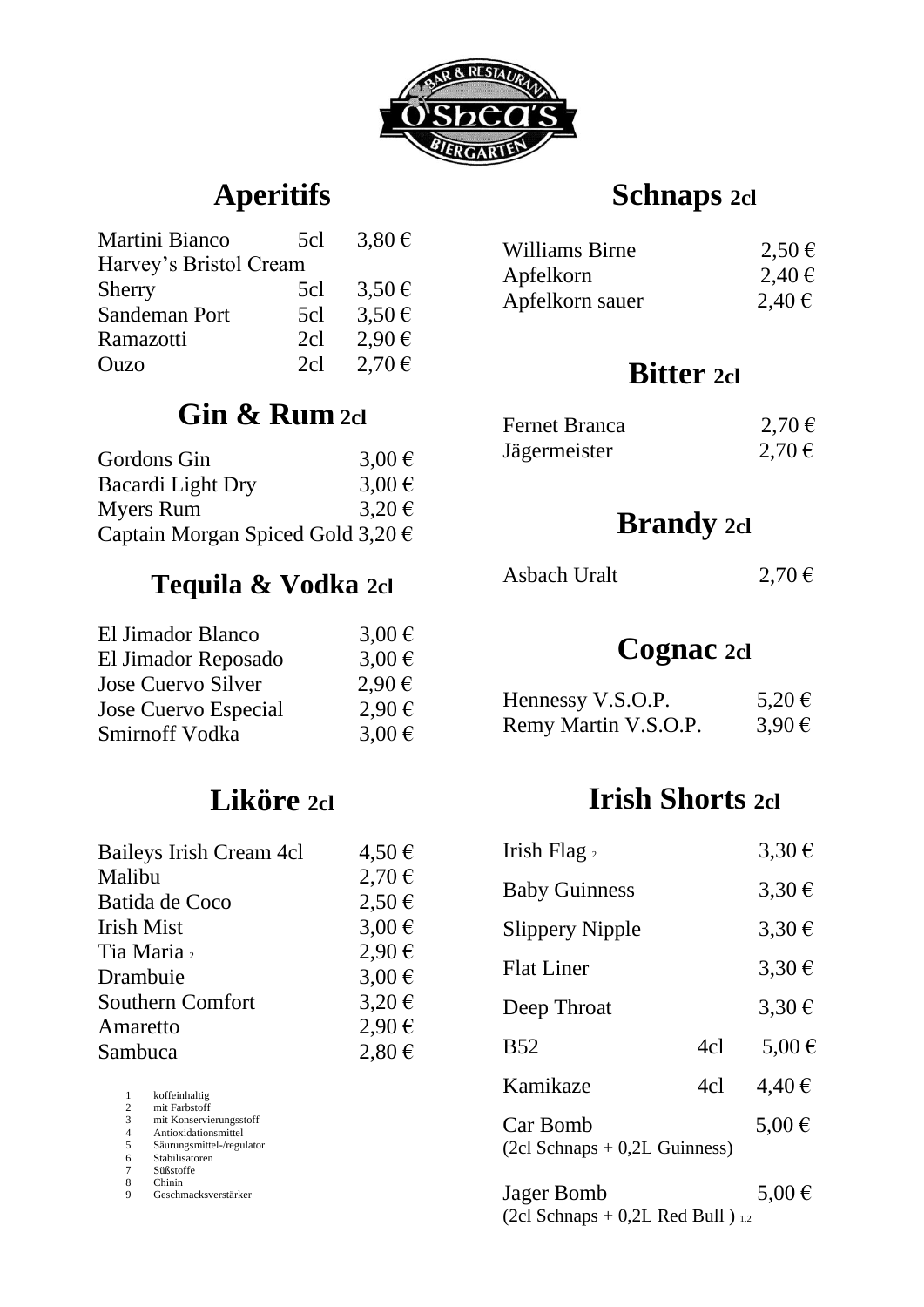

## **Aperitifs**

| Martini Bianco         | 5cl | $3.80 \in$ |
|------------------------|-----|------------|
| Harvey's Bristol Cream |     |            |
| <b>Sherry</b>          | 5cl | $3,50 \in$ |
| Sandeman Port          | 5cl | $3,50 \in$ |
| Ramazotti              | 2cl | $2.90 \in$ |
| Ouzo                   | 2cl | $2,70 \in$ |

## **Gin & Rum 2cl**

| Gordons Gin                                | 3,00 $\in$ |
|--------------------------------------------|------------|
| Bacardi Light Dry                          | $3,00 \in$ |
| <b>Myers Rum</b>                           | $3,20 \in$ |
| Captain Morgan Spiced Gold 3,20 $\epsilon$ |            |

#### **Tequila & Vodka 2cl**

| $3.00 \in$ |
|------------|
| $3.00 \in$ |
| $2.90 \in$ |
| $2.90 \in$ |
| $3.00 \in$ |
|            |

#### **Liköre 2cl**

| Baileys Irish Cream 4cl | $4,50 \in$ |
|-------------------------|------------|
| Malibu                  | 2,70€      |
| Batida de Coco          | $2,50 \in$ |
| <b>Irish Mist</b>       | $3,00 \in$ |
| Tia Maria 2             | $2,90 \in$ |
| Drambuie                | $3,00 \in$ |
| Southern Comfort        | $3,20 \in$ |
| Amaretto                | $2,90 \in$ |
| Sambuca                 | $2,80 \in$ |
|                         |            |

 koffeinhaltig mit Farbstoff mit Konservierungsstoff Antioxidationsmittel 5 Säurungsmittel-/regulator<br>6 Stabilisatoren<br>7 Süßstoffe<br>8 Chinin<br>9 Geschmacksverstärker Stabilisatoren Süßstoffe

8 Chinin 9 Geschmacksverstärker

#### **Schnaps 2cl**

| Williams Birne  | $2,50 \in$ |
|-----------------|------------|
| Apfelkorn       | $2,40 \in$ |
| Apfelkorn sauer | 2,40€      |

#### **Bitter 2cl**

| <b>Fernet Branca</b> | $2,70 \in$ |
|----------------------|------------|
| Jägermeister         | $2,70 \in$ |

#### **Brandy 2cl**

| Asbach Uralt | $2,70 \in$ |
|--------------|------------|
|              |            |

#### **Cognac 2cl**

| Hennessy V.S.O.P.    | 5,20€      |
|----------------------|------------|
| Remy Martin V.S.O.P. | $3,90 \in$ |

## **Irish Shorts 2cl**

| Irish Flag $_2$                             |     | $3,30 \in$          |
|---------------------------------------------|-----|---------------------|
| <b>Baby Guinness</b>                        |     | $3,30 \in$          |
| <b>Slippery Nipple</b>                      |     | $3,30 \in$          |
| <b>Flat Liner</b>                           |     | $3.30 \in$          |
| Deep Throat                                 |     | 3.30 €              |
| <b>B52</b>                                  | 4c1 | $5.00 \in$          |
| Kamikaze                                    | 4cl | $4.40 \,\mathrm{E}$ |
| Car Bomb<br>$(2cl Schnaps + 0,2L Guinness)$ |     | $5.00 \in$          |
| $I0$ or $D0$ $mb$                           |     | 5 ∩∩ £              |

Jager Bomb  $5,00 \in$ (2cl Schnaps  $+$  0,2L Red Bull )  $_{1,2}$